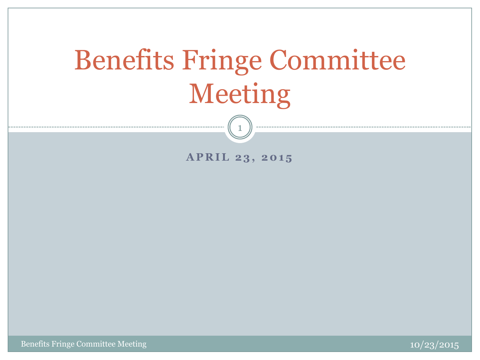# Benefits Fringe Committee Meeting

**APRIL 23, 2015** 

1

Benefits Fringe Committee Meeting

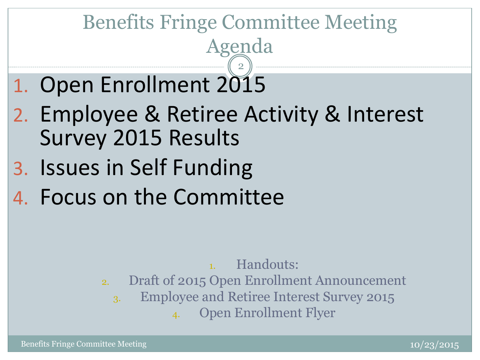### Benefits Fringe Committee Meeting Agenda 2

- 1. Open Enrollment 2015
- 2. Employee & Retiree Activity & Interest Survey 2015 Results
- 3. Issues in Self Funding
- 4. Focus on the Committee

Handouts:

- 2. Draft of 2015 Open Enrollment Announcement
	- 3. Employee and Retiree Interest Survey 2015

4. Open Enrollment Flyer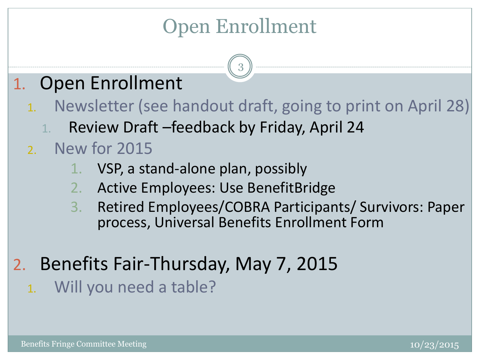### Open Enrollment

3

### 1. Open Enrollment

- 1. Newsletter (see handout draft, going to print on April 28)
	- 1. Review Draft –feedback by Friday, April 24

### 2. New for 2015

- 1. VSP, a stand-alone plan, possibly
- 2. Active Employees: Use BenefitBridge
- 3. Retired Employees/COBRA Participants/ Survivors: Paper process, Universal Benefits Enrollment Form
- 2. Benefits Fair-Thursday, May 7, 2015
	- 1. Will you need a table?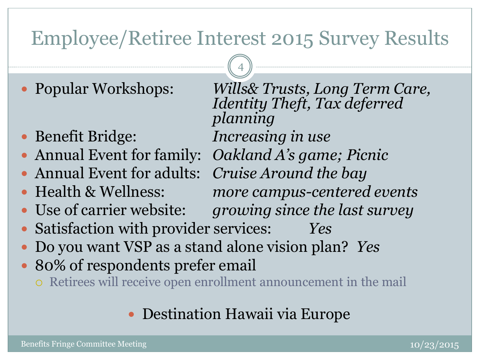### Employee/Retiree Interest 2015 Survey Results

4

*planning*

*Identity Theft, Tax deferred* 

- Popular Workshops: *Wills& Trusts, Long Term Care,*
- Benefit Bridge: *Increasing in use*
- Annual Event for family: *Oakland A's game; Picnic*
- Annual Event for adults: *Cruise Around the bay*
- Health & Wellness: *more campus-centered events*
- Use of carrier website: *growing since the last survey*
- Satisfaction with provider services: *Yes*
- Do you want VSP as a stand alone vision plan? *Yes*
- 80% of respondents prefer email
	- Retirees will receive open enrollment announcement in the mail

### Destination Hawaii via Europe

Benefits Fringe Committee Meeting and the committee of the committee of the committee of the committee of the c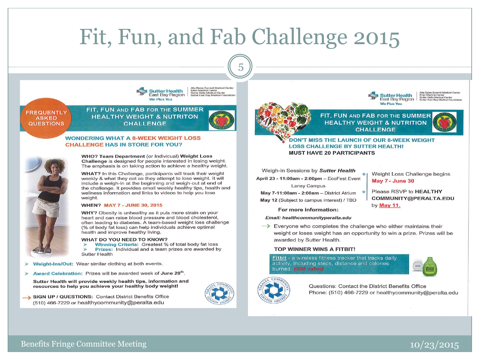## Fit, Fun, and Fab Challenge 2015

5

Alta Bates Summit Medical Center

Eden Medical Center<br>Sutter Delta Medical Center



**FREQUENTLY ASKED QUESTIONS** 

FIT, FUN AND FAB FOR THE SUMMER **HEALTHY WEIGHT & NUTRITON CHALLENGE** 

### **WONDERING WHAT A 8-WEEK WEIGHT LOSS CHALLENGE HAS IN STORE FOR YOU?**



### WHO? Team Department (or Individual) Weight Loss Challenge is designed for people interested in losing weight. The emphasis is on taking action to achieve a healthy weight.

WHAT? In this Challenge, participants will track their weight weekly & what they eat as they attempt to lose weight. It will include a weigh-in at the beginning and weigh-out at end of the challenge. It provides email weekly healthy tips, health and wellness information and links to videos to help you lose weight.

### **WHEN? MAY 7 - JUNE 30, 2015**

WHY? Obesity is unhealthy as it puts more strain on your heart and can raise blood pressure and blood cholesterol, often leading to diabetes. A team-based weight loss challenge (% of body fat loss) can help individuals achieve optimal health and improve healthy living.

### WHAT DO YOU NEED TO KNOW?

Winning Criteria: Greatest % of total body fat loss  $\rightarrow$ Prizes: Individual and a team prizes are awarded by **Sutter Health** 

- Weight-Ins/Out: Wear similar clothing at both events.
- Award Celebration: Prizes will be awarded week of June 29<sup>th</sup>.

Sutter Health will provide weekly health tips, information and resources to help you achieve your healthy body weight!



SIGN UP / QUESTIONS: Contact District Benefits Office (510) 466-7229 or healthycommunity@peralta.edu



**CHALLENGE** 

**Sutter Health** 

Weight Loss Challenge begins

COMMUNITY@PERALTA.EDU

Please RSVP to HEALTHY

**May 7 - June 30** 

by May 11.

Alta Bates Summit Medical Cente<br>Eden Medical Center<br>Sutter Delta Medical Center

DON'T MISS THE LAUNCH OF OUR 8-WEEK WEIGHT **LOSS CHALLENGE BY SUTTER HEALTH! MUST HAVE 20 PARTICIPANTS** 

Weigh-in Sessions by Sutter Health April 23 - 11:00am - 2:00pm - EcoFest Event Laney Campus

May 7-11:00am - 2:00am - District Atrium May 12 (Subject to campus interest) / TBD

For more information:

### Email: healthcommunityperalta.edu

 $\rightarrow$  Everyone who completes the challenge who either maintains their weight or loses weight has an opportunity to win a prize. Prizes will be awarded by Sutter Health.

### TOP WINNER WINS A FITBIT!

Fitbit - a wireless fitness tracker that tracks daily activity, including steps, distance and calories burned. (\$60 value)





Questions: Contact the District Benefits Office Phone: (510) 466-7229 or healthycommunity@peralta.edu

Benefits Fringe Committee Meeting and the committee of the committee of the committee of the committee of the committee of the committee of the committee of the committee of the committee of the committee of the committee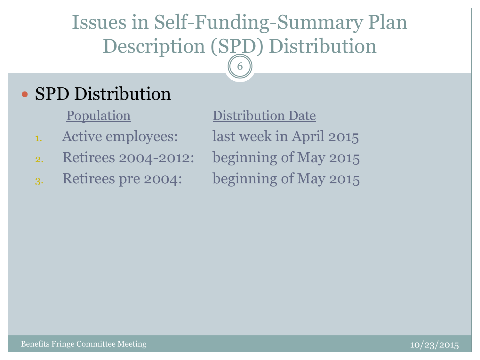## Issues in Self-Funding-Summary Plan Description (SPD) Distribution

6

### • SPD Distribution

- 
- 2. Retirees 2004-2012: beginning of May 2015
- 3. Retirees pre 2004: beginning of May 2015

Population Distribution Date 1. Active employees: last week in April 2015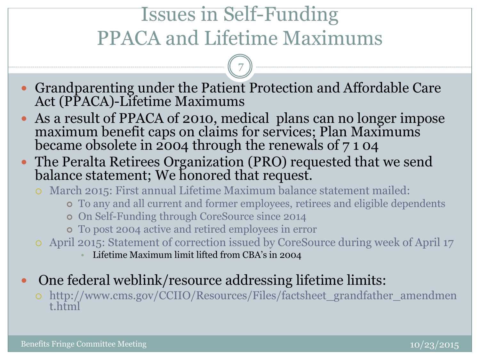### Issues in Self-Funding PPACA and Lifetime Maximums

7

- Grandparenting under the Patient Protection and Affordable Care Act (PPACA)-Lifetime Maximums
- As a result of PPACA of 2010, medical plans can no longer impose maximum benefit caps on claims for services; Plan Maximums became obsolete in 2004 through the renewals of 7 1 04
- The Peralta Retirees Organization (PRO) requested that we send balance statement; We honored that request.
	- March 2015: First annual Lifetime Maximum balance statement mailed:
		- To any and all current and former employees, retirees and eligible dependents
		- On Self-Funding through CoreSource since 2014
		- To post 2004 active and retired employees in error
	- April 2015: Statement of correction issued by CoreSource during week of April 17
		- Lifetime Maximum limit lifted from CBA's in 2004
- One federal weblink/resource addressing lifetime limits:

 http://www.cms.gov/CCIIO/Resources/Files/factsheet\_grandfather\_amendmen t.html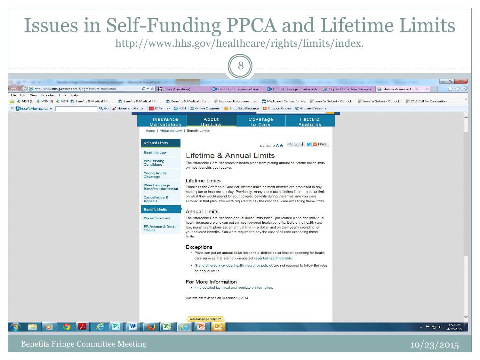

Benefits Fringe Committee Meeting and the committee of the committee of the committee of the committee of the committee of the committee of the committee of the committee of the committee of the committee of the committee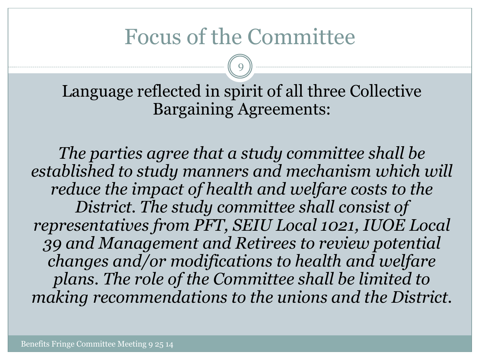### Focus of the Committee

9

Language reflected in spirit of all three Collective Bargaining Agreements:

*The parties agree that a study committee shall be established to study manners and mechanism which will reduce the impact of health and welfare costs to the District. The study committee shall consist of representatives from PFT, SEIU Local 1021, IUOE Local 39 and Management and Retirees to review potential changes and/or modifications to health and welfare plans. The role of the Committee shall be limited to making recommendations to the unions and the District.*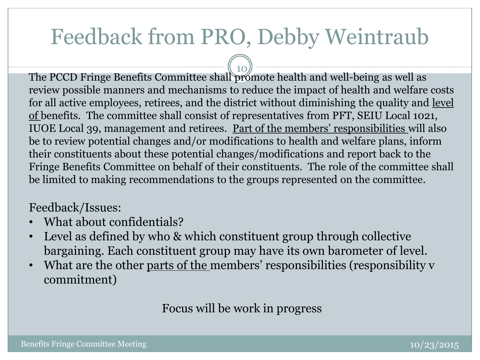## Feedback from PRO, Debby Weintraub

10 The PCCD Fringe Benefits Committee shall promote health and well-being as well as review possible manners and mechanisms to reduce the impact of health and welfare costs for all active employees, retirees, and the district without diminishing the quality and level of benefits. The committee shall consist of representatives from PFT, SEIU Local 1021, IUOE Local 39, management and retirees. Part of the members' responsibilities will also be to review potential changes and/or modifications to health and welfare plans, inform their constituents about these potential changes/modifications and report back to the Fringe Benefits Committee on behalf of their constituents. The role of the committee shall be limited to making recommendations to the groups represented on the committee.

### Feedback/Issues:

- What about confidentials?
- Level as defined by who & which constituent group through collective bargaining. Each constituent group may have its own barometer of level.
- What are the other parts of the members' responsibilities (responsibility v commitment)

Focus will be work in progress